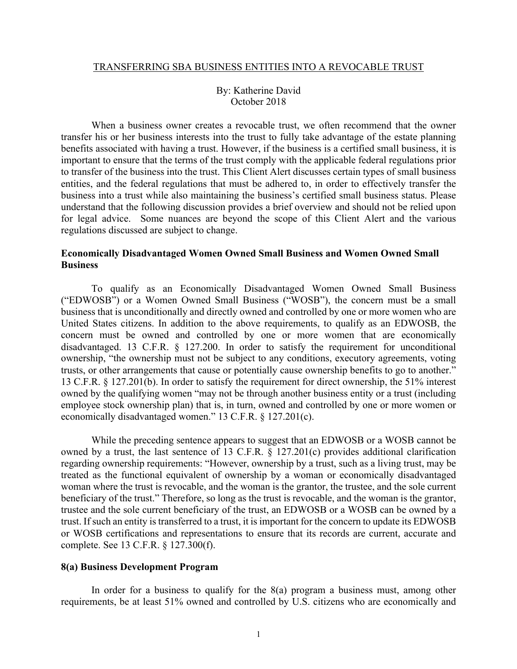#### TRANSFERRING SBA BUSINESS ENTITIES INTO A REVOCABLE TRUST

## By: Katherine David October 2018

When a business owner creates a revocable trust, we often recommend that the owner transfer his or her business interests into the trust to fully take advantage of the estate planning benefits associated with having a trust. However, if the business is a certified small business, it is important to ensure that the terms of the trust comply with the applicable federal regulations prior to transfer of the business into the trust. This Client Alert discusses certain types of small business entities, and the federal regulations that must be adhered to, in order to effectively transfer the business into a trust while also maintaining the business's certified small business status. Please understand that the following discussion provides a brief overview and should not be relied upon for legal advice. Some nuances are beyond the scope of this Client Alert and the various regulations discussed are subject to change.

# **Economically Disadvantaged Women Owned Small Business and Women Owned Small Business**

To qualify as an Economically Disadvantaged Women Owned Small Business ("EDWOSB") or a Women Owned Small Business ("WOSB"), the concern must be a small business that is unconditionally and directly owned and controlled by one or more women who are United States citizens. In addition to the above requirements, to qualify as an EDWOSB, the concern must be owned and controlled by one or more women that are economically disadvantaged. 13 C.F.R. § 127.200. In order to satisfy the requirement for unconditional ownership, "the ownership must not be subject to any conditions, executory agreements, voting trusts, or other arrangements that cause or potentially cause ownership benefits to go to another." 13 C.F.R. § 127.201(b). In order to satisfy the requirement for direct ownership, the 51% interest owned by the qualifying women "may not be through another business entity or a trust (including employee stock ownership plan) that is, in turn, owned and controlled by one or more women or economically disadvantaged women." 13 C.F.R. § 127.201(c).

While the preceding sentence appears to suggest that an EDWOSB or a WOSB cannot be owned by a trust, the last sentence of 13 C.F.R. § 127.201(c) provides additional clarification regarding ownership requirements: "However, ownership by a trust, such as a living trust, may be treated as the functional equivalent of ownership by a woman or economically disadvantaged woman where the trust is revocable, and the woman is the grantor, the trustee, and the sole current beneficiary of the trust." Therefore, so long as the trust is revocable, and the woman is the grantor, trustee and the sole current beneficiary of the trust, an EDWOSB or a WOSB can be owned by a trust. If such an entity is transferred to a trust, it is important for the concern to update its EDWOSB or WOSB certifications and representations to ensure that its records are current, accurate and complete. See 13 C.F.R. § 127.300(f).

## **8(a) Business Development Program**

In order for a business to qualify for the  $8(a)$  program a business must, among other requirements, be at least 51% owned and controlled by U.S. citizens who are economically and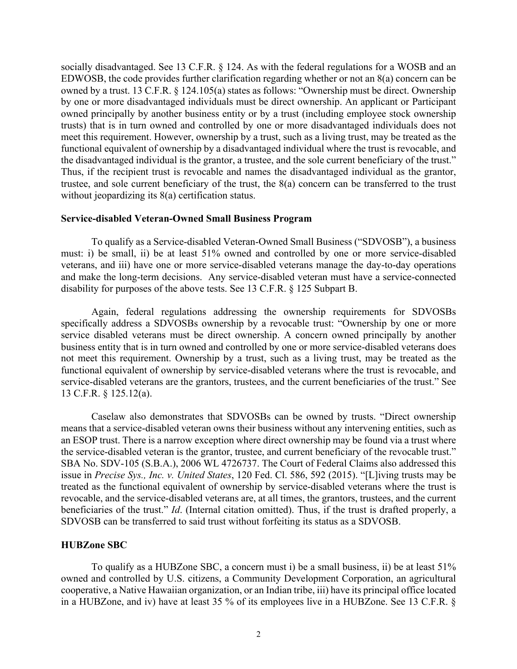socially disadvantaged. See 13 C.F.R. § 124. As with the federal regulations for a WOSB and an EDWOSB, the code provides further clarification regarding whether or not an 8(a) concern can be owned by a trust. 13 C.F.R. § 124.105(a) states as follows: "Ownership must be direct. Ownership by one or more disadvantaged individuals must be direct ownership. An applicant or Participant owned principally by another business entity or by a trust (including employee stock ownership trusts) that is in turn owned and controlled by one or more disadvantaged individuals does not meet this requirement. However, ownership by a trust, such as a living trust, may be treated as the functional equivalent of ownership by a disadvantaged individual where the trust is revocable, and the disadvantaged individual is the grantor, a trustee, and the sole current beneficiary of the trust." Thus, if the recipient trust is revocable and names the disadvantaged individual as the grantor, trustee, and sole current beneficiary of the trust, the 8(a) concern can be transferred to the trust without jeopardizing its 8(a) certification status.

### **Service-disabled Veteran-Owned Small Business Program**

To qualify as a Service-disabled Veteran-Owned Small Business ("SDVOSB"), a business must: i) be small, ii) be at least 51% owned and controlled by one or more service-disabled veterans, and iii) have one or more service-disabled veterans manage the day-to-day operations and make the long-term decisions. Any service-disabled veteran must have a service-connected disability for purposes of the above tests. See 13 C.F.R. § 125 Subpart B.

Again, federal regulations addressing the ownership requirements for SDVOSBs specifically address a SDVOSBs ownership by a revocable trust: "Ownership by one or more service disabled veterans must be direct ownership. A concern owned principally by another business entity that is in turn owned and controlled by one or more service-disabled veterans does not meet this requirement. Ownership by a trust, such as a living trust, may be treated as the functional equivalent of ownership by service-disabled veterans where the trust is revocable, and service-disabled veterans are the grantors, trustees, and the current beneficiaries of the trust." See 13 C.F.R. § 125.12(a).

Caselaw also demonstrates that SDVOSBs can be owned by trusts. "Direct ownership means that a service-disabled veteran owns their business without any intervening entities, such as an ESOP trust. There is a narrow exception where direct ownership may be found via a trust where the service-disabled veteran is the grantor, trustee, and current beneficiary of the revocable trust." SBA No. SDV-105 (S.B.A.), 2006 WL 4726737. The Court of Federal Claims also addressed this issue in *Precise Sys., Inc. v. United States*, 120 Fed. Cl. 586, 592 (2015). "[L]iving trusts may be treated as the functional equivalent of ownership by service-disabled veterans where the trust is revocable, and the service-disabled veterans are, at all times, the grantors, trustees, and the current beneficiaries of the trust." *Id*. (Internal citation omitted). Thus, if the trust is drafted properly, a SDVOSB can be transferred to said trust without forfeiting its status as a SDVOSB.

#### **HUBZone SBC**

To qualify as a HUBZone SBC, a concern must i) be a small business, ii) be at least 51% owned and controlled by U.S. citizens, a Community Development Corporation, an agricultural cooperative, a Native Hawaiian organization, or an Indian tribe, iii) have its principal office located in a HUBZone, and iv) have at least 35 % of its employees live in a HUBZone. See 13 C.F.R. §